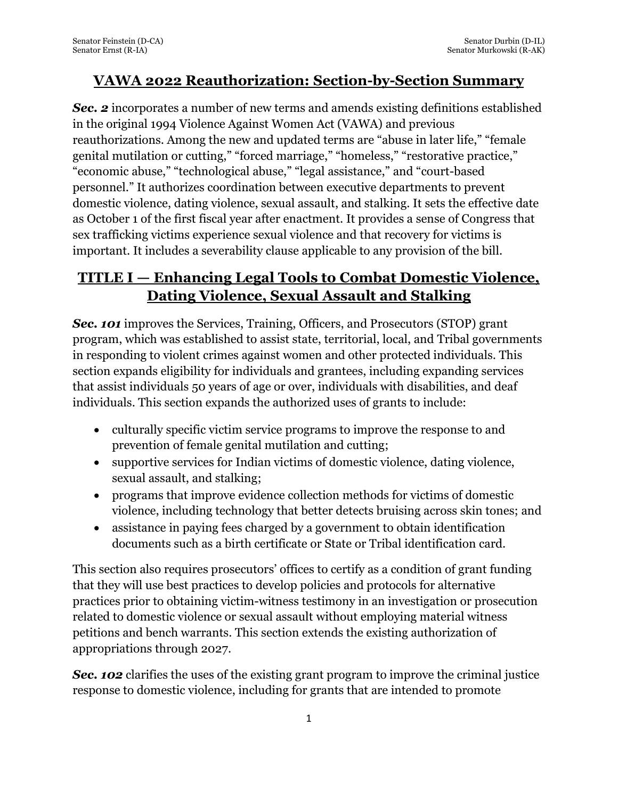#### **VAWA 2022 Reauthorization: Section-by-Section Summary**

**Sec. 2** incorporates a number of new terms and amends existing definitions established in the original 1994 Violence Against Women Act (VAWA) and previous reauthorizations. Among the new and updated terms are "abuse in later life," "female genital mutilation or cutting," "forced marriage," "homeless," "restorative practice," "economic abuse," "technological abuse," "legal assistance," and "court-based personnel." It authorizes coordination between executive departments to prevent domestic violence, dating violence, sexual assault, and stalking. It sets the effective date as October 1 of the first fiscal year after enactment. It provides a sense of Congress that sex trafficking victims experience sexual violence and that recovery for victims is important. It includes a severability clause applicable to any provision of the bill.

# **TITLE I — Enhancing Legal Tools to Combat Domestic Violence, Dating Violence, Sexual Assault and Stalking**

*Sec. 101* improves the Services, Training, Officers, and Prosecutors (STOP) grant program, which was established to assist state, territorial, local, and Tribal governments in responding to violent crimes against women and other protected individuals. This section expands eligibility for individuals and grantees, including expanding services that assist individuals 50 years of age or over, individuals with disabilities, and deaf individuals. This section expands the authorized uses of grants to include:

- culturally specific victim service programs to improve the response to and prevention of female genital mutilation and cutting;
- supportive services for Indian victims of domestic violence, dating violence, sexual assault, and stalking;
- programs that improve evidence collection methods for victims of domestic violence, including technology that better detects bruising across skin tones; and
- assistance in paying fees charged by a government to obtain identification documents such as a birth certificate or State or Tribal identification card.

This section also requires prosecutors' offices to certify as a condition of grant funding that they will use best practices to develop policies and protocols for alternative practices prior to obtaining victim-witness testimony in an investigation or prosecution related to domestic violence or sexual assault without employing material witness petitions and bench warrants. This section extends the existing authorization of appropriations through 2027.

**Sec. 102** clarifies the uses of the existing grant program to improve the criminal justice response to domestic violence, including for grants that are intended to promote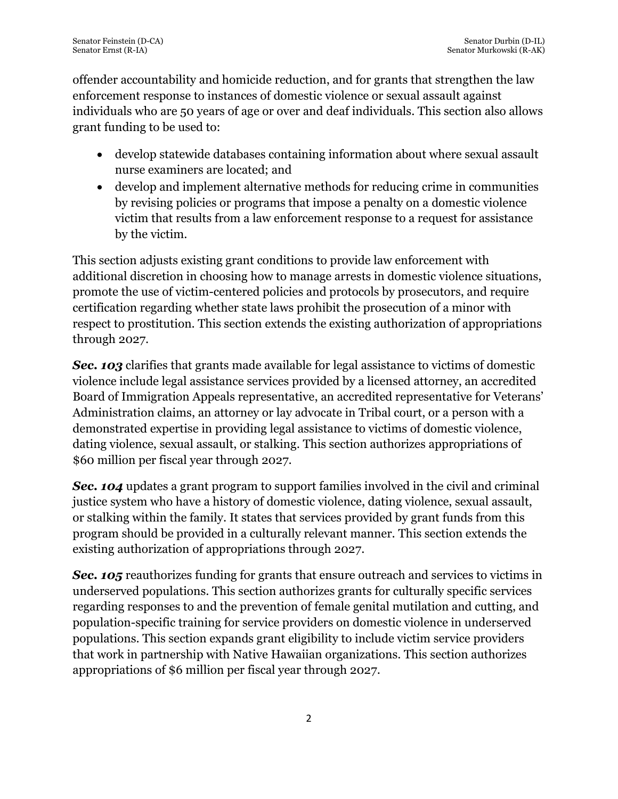offender accountability and homicide reduction, and for grants that strengthen the law enforcement response to instances of domestic violence or sexual assault against individuals who are 50 years of age or over and deaf individuals. This section also allows grant funding to be used to:

- develop statewide databases containing information about where sexual assault nurse examiners are located; and
- develop and implement alternative methods for reducing crime in communities by revising policies or programs that impose a penalty on a domestic violence victim that results from a law enforcement response to a request for assistance by the victim.

This section adjusts existing grant conditions to provide law enforcement with additional discretion in choosing how to manage arrests in domestic violence situations, promote the use of victim-centered policies and protocols by prosecutors, and require certification regarding whether state laws prohibit the prosecution of a minor with respect to prostitution. This section extends the existing authorization of appropriations through 2027.

*Sec. 103* clarifies that grants made available for legal assistance to victims of domestic violence include legal assistance services provided by a licensed attorney, an accredited Board of Immigration Appeals representative, an accredited representative for Veterans' Administration claims, an attorney or lay advocate in Tribal court, or a person with a demonstrated expertise in providing legal assistance to victims of domestic violence, dating violence, sexual assault, or stalking. This section authorizes appropriations of \$60 million per fiscal year through 2027.

**Sec. 104** updates a grant program to support families involved in the civil and criminal justice system who have a history of domestic violence, dating violence, sexual assault, or stalking within the family. It states that services provided by grant funds from this program should be provided in a culturally relevant manner. This section extends the existing authorization of appropriations through 2027.

**Sec. 105** reauthorizes funding for grants that ensure outreach and services to victims in underserved populations. This section authorizes grants for culturally specific services regarding responses to and the prevention of female genital mutilation and cutting, and population-specific training for service providers on domestic violence in underserved populations. This section expands grant eligibility to include victim service providers that work in partnership with Native Hawaiian organizations. This section authorizes appropriations of \$6 million per fiscal year through 2027.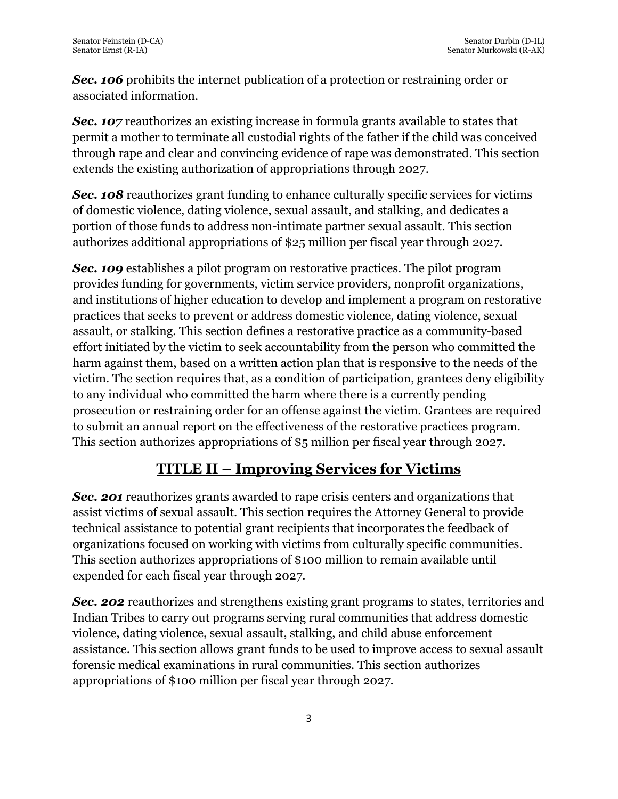*Sec. 106* prohibits the internet publication of a protection or restraining order or associated information.

**Sec. 107** reauthorizes an existing increase in formula grants available to states that permit a mother to terminate all custodial rights of the father if the child was conceived through rape and clear and convincing evidence of rape was demonstrated. This section extends the existing authorization of appropriations through 2027.

**Sec. 108** reauthorizes grant funding to enhance culturally specific services for victims of domestic violence, dating violence, sexual assault, and stalking, and dedicates a portion of those funds to address non-intimate partner sexual assault. This section authorizes additional appropriations of \$25 million per fiscal year through 2027.

*Sec. 109* establishes a pilot program on restorative practices. The pilot program provides funding for governments, victim service providers, nonprofit organizations, and institutions of higher education to develop and implement a program on restorative practices that seeks to prevent or address domestic violence, dating violence, sexual assault, or stalking. This section defines a restorative practice as a community-based effort initiated by the victim to seek accountability from the person who committed the harm against them, based on a written action plan that is responsive to the needs of the victim. The section requires that, as a condition of participation, grantees deny eligibility to any individual who committed the harm where there is a currently pending prosecution or restraining order for an offense against the victim. Grantees are required to submit an annual report on the effectiveness of the restorative practices program. This section authorizes appropriations of \$5 million per fiscal year through 2027.

## **TITLE II – Improving Services for Victims**

**Sec. 201** reauthorizes grants awarded to rape crisis centers and organizations that assist victims of sexual assault. This section requires the Attorney General to provide technical assistance to potential grant recipients that incorporates the feedback of organizations focused on working with victims from culturally specific communities. This section authorizes appropriations of \$100 million to remain available until expended for each fiscal year through 2027.

**Sec. 202** reauthorizes and strengthens existing grant programs to states, territories and Indian Tribes to carry out programs serving rural communities that address domestic violence, dating violence, sexual assault, stalking, and child abuse enforcement assistance. This section allows grant funds to be used to improve access to sexual assault forensic medical examinations in rural communities. This section authorizes appropriations of \$100 million per fiscal year through 2027.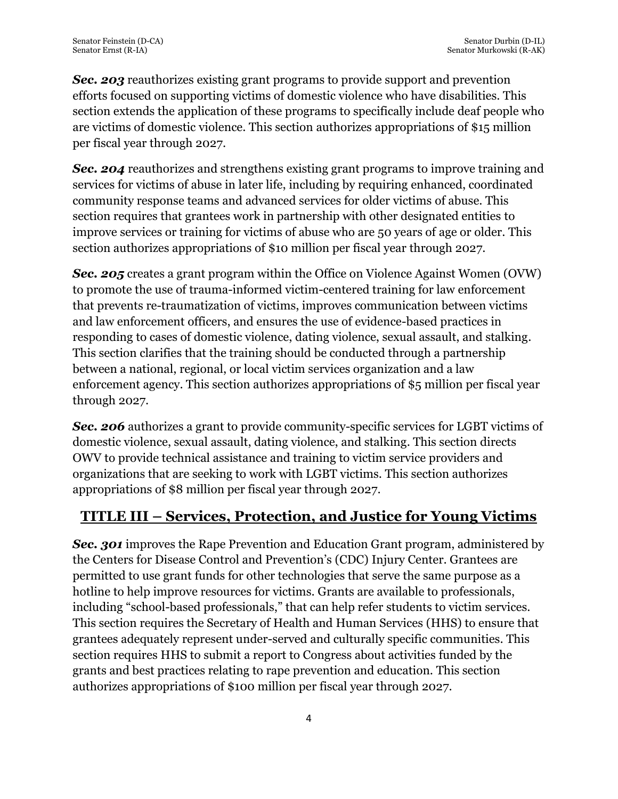*Sec. 203* reauthorizes existing grant programs to provide support and prevention efforts focused on supporting victims of domestic violence who have disabilities. This section extends the application of these programs to specifically include deaf people who are victims of domestic violence. This section authorizes appropriations of \$15 million per fiscal year through 2027.

**Sec. 204** reauthorizes and strengthens existing grant programs to improve training and services for victims of abuse in later life, including by requiring enhanced, coordinated community response teams and advanced services for older victims of abuse. This section requires that grantees work in partnership with other designated entities to improve services or training for victims of abuse who are 50 years of age or older. This section authorizes appropriations of \$10 million per fiscal year through 2027.

**Sec. 205** creates a grant program within the Office on Violence Against Women (OVW) to promote the use of trauma-informed victim-centered training for law enforcement that prevents re-traumatization of victims, improves communication between victims and law enforcement officers, and ensures the use of evidence-based practices in responding to cases of domestic violence, dating violence, sexual assault, and stalking. This section clarifies that the training should be conducted through a partnership between a national, regional, or local victim services organization and a law enforcement agency. This section authorizes appropriations of \$5 million per fiscal year through 2027.

*Sec. 206* authorizes a grant to provide community-specific services for LGBT victims of domestic violence, sexual assault, dating violence, and stalking. This section directs OWV to provide technical assistance and training to victim service providers and organizations that are seeking to work with LGBT victims. This section authorizes appropriations of \$8 million per fiscal year through 2027.

## **TITLE III – Services, Protection, and Justice for Young Victims**

*Sec. 301* improves the Rape Prevention and Education Grant program, administered by the Centers for Disease Control and Prevention's (CDC) Injury Center. Grantees are permitted to use grant funds for other technologies that serve the same purpose as a hotline to help improve resources for victims. Grants are available to professionals, including "school-based professionals," that can help refer students to victim services. This section requires the Secretary of Health and Human Services (HHS) to ensure that grantees adequately represent under-served and culturally specific communities. This section requires HHS to submit a report to Congress about activities funded by the grants and best practices relating to rape prevention and education. This section authorizes appropriations of \$100 million per fiscal year through 2027.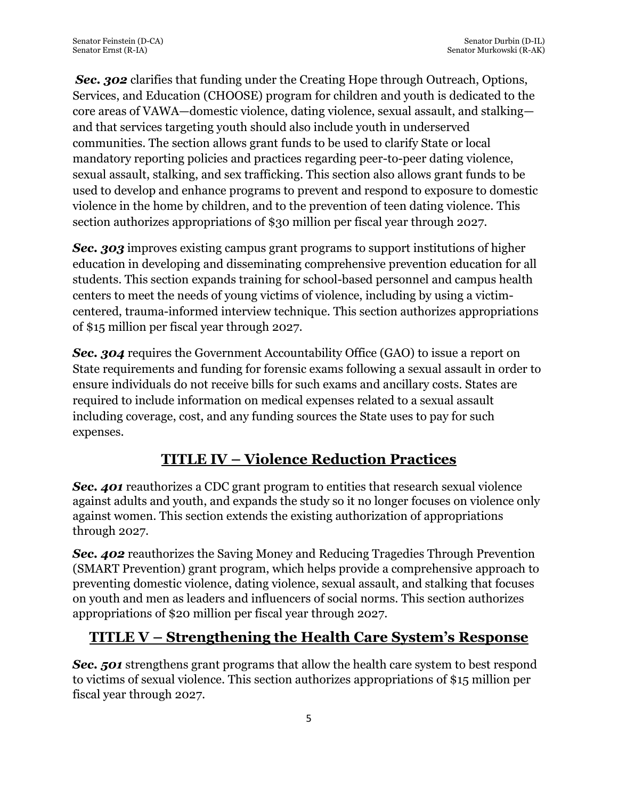**Sec. 302** clarifies that funding under the Creating Hope through Outreach, Options, Services, and Education (CHOOSE) program for children and youth is dedicated to the core areas of VAWA—domestic violence, dating violence, sexual assault, and stalking and that services targeting youth should also include youth in underserved communities. The section allows grant funds to be used to clarify State or local mandatory reporting policies and practices regarding peer-to-peer dating violence, sexual assault, stalking, and sex trafficking. This section also allows grant funds to be used to develop and enhance programs to prevent and respond to exposure to domestic violence in the home by children, and to the prevention of teen dating violence. This section authorizes appropriations of \$30 million per fiscal year through 2027.

*Sec. 303* improves existing campus grant programs to support institutions of higher education in developing and disseminating comprehensive prevention education for all students. This section expands training for school-based personnel and campus health centers to meet the needs of young victims of violence, including by using a victimcentered, trauma-informed interview technique. This section authorizes appropriations of \$15 million per fiscal year through 2027.

**Sec. 304** requires the Government Accountability Office (GAO) to issue a report on State requirements and funding for forensic exams following a sexual assault in order to ensure individuals do not receive bills for such exams and ancillary costs. States are required to include information on medical expenses related to a sexual assault including coverage, cost, and any funding sources the State uses to pay for such expenses.

# **TITLE IV – Violence Reduction Practices**

**Sec. 401** reauthorizes a CDC grant program to entities that research sexual violence against adults and youth, and expands the study so it no longer focuses on violence only against women. This section extends the existing authorization of appropriations through 2027.

*Sec. 402* reauthorizes the Saving Money and Reducing Tragedies Through Prevention (SMART Prevention) grant program, which helps provide a comprehensive approach to preventing domestic violence, dating violence, sexual assault, and stalking that focuses on youth and men as leaders and influencers of social norms. This section authorizes appropriations of \$20 million per fiscal year through 2027.

## **TITLE V – Strengthening the Health Care System's Response**

**Sec. 501** strengthens grant programs that allow the health care system to best respond to victims of sexual violence. This section authorizes appropriations of \$15 million per fiscal year through 2027.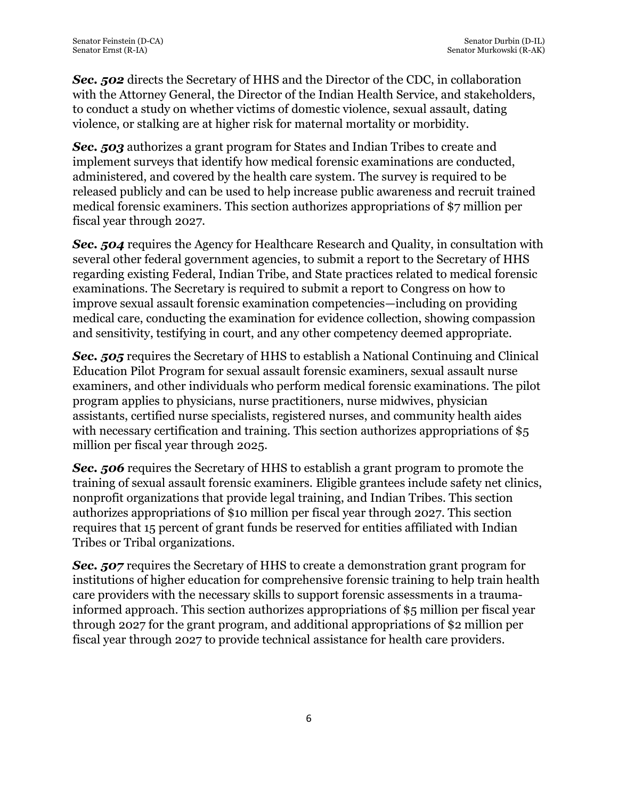*Sec. 502* directs the Secretary of HHS and the Director of the CDC, in collaboration with the Attorney General, the Director of the Indian Health Service, and stakeholders, to conduct a study on whether victims of domestic violence, sexual assault, dating violence, or stalking are at higher risk for maternal mortality or morbidity.

*Sec. 503* authorizes a grant program for States and Indian Tribes to create and implement surveys that identify how medical forensic examinations are conducted, administered, and covered by the health care system. The survey is required to be released publicly and can be used to help increase public awareness and recruit trained medical forensic examiners. This section authorizes appropriations of \$7 million per fiscal year through 2027.

**Sec. 504** requires the Agency for Healthcare Research and Quality, in consultation with several other federal government agencies, to submit a report to the Secretary of HHS regarding existing Federal, Indian Tribe, and State practices related to medical forensic examinations. The Secretary is required to submit a report to Congress on how to improve sexual assault forensic examination competencies—including on providing medical care, conducting the examination for evidence collection, showing compassion and sensitivity, testifying in court, and any other competency deemed appropriate.

*Sec. 505* requires the Secretary of HHS to establish a National Continuing and Clinical Education Pilot Program for sexual assault forensic examiners, sexual assault nurse examiners, and other individuals who perform medical forensic examinations. The pilot program applies to physicians, nurse practitioners, nurse midwives, physician assistants, certified nurse specialists, registered nurses, and community health aides with necessary certification and training. This section authorizes appropriations of \$5 million per fiscal year through 2025.

*Sec. 506* requires the Secretary of HHS to establish a grant program to promote the training of sexual assault forensic examiners. Eligible grantees include safety net clinics, nonprofit organizations that provide legal training, and Indian Tribes. This section authorizes appropriations of \$10 million per fiscal year through 2027. This section requires that 15 percent of grant funds be reserved for entities affiliated with Indian Tribes or Tribal organizations.

*Sec. 507* requires the Secretary of HHS to create a demonstration grant program for institutions of higher education for comprehensive forensic training to help train health care providers with the necessary skills to support forensic assessments in a traumainformed approach. This section authorizes appropriations of \$5 million per fiscal year through 2027 for the grant program, and additional appropriations of \$2 million per fiscal year through 2027 to provide technical assistance for health care providers.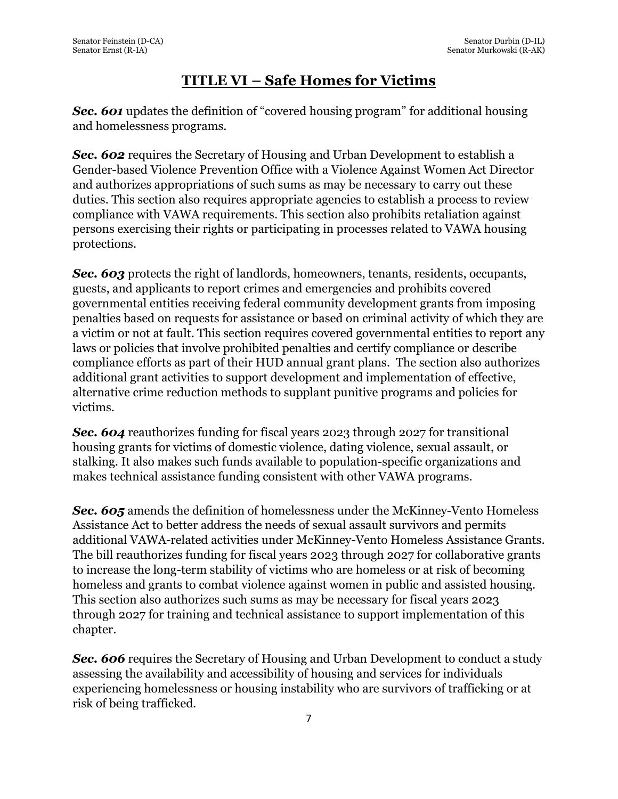### **TITLE VI – Safe Homes for Victims**

**Sec. 601** updates the definition of "covered housing program" for additional housing and homelessness programs.

**Sec. 602** requires the Secretary of Housing and Urban Development to establish a Gender-based Violence Prevention Office with a Violence Against Women Act Director and authorizes appropriations of such sums as may be necessary to carry out these duties. This section also requires appropriate agencies to establish a process to review compliance with VAWA requirements. This section also prohibits retaliation against persons exercising their rights or participating in processes related to VAWA housing protections.

*Sec. 603* protects the right of landlords, homeowners, tenants, residents, occupants, guests, and applicants to report crimes and emergencies and prohibits covered governmental entities receiving federal community development grants from imposing penalties based on requests for assistance or based on criminal activity of which they are a victim or not at fault. This section requires covered governmental entities to report any laws or policies that involve prohibited penalties and certify compliance or describe compliance efforts as part of their HUD annual grant plans. The section also authorizes additional grant activities to support development and implementation of effective, alternative crime reduction methods to supplant punitive programs and policies for victims.

*Sec. 604* reauthorizes funding for fiscal years 2023 through 2027 for transitional housing grants for victims of domestic violence, dating violence, sexual assault, or stalking. It also makes such funds available to population-specific organizations and makes technical assistance funding consistent with other VAWA programs.

*Sec. 605* amends the definition of homelessness under the McKinney-Vento Homeless Assistance Act to better address the needs of sexual assault survivors and permits additional VAWA-related activities under McKinney-Vento Homeless Assistance Grants. The bill reauthorizes funding for fiscal years 2023 through 2027 for collaborative grants to increase the long-term stability of victims who are homeless or at risk of becoming homeless and grants to combat violence against women in public and assisted housing. This section also authorizes such sums as may be necessary for fiscal years 2023 through 2027 for training and technical assistance to support implementation of this chapter.

**Sec. 606** requires the Secretary of Housing and Urban Development to conduct a study assessing the availability and accessibility of housing and services for individuals experiencing homelessness or housing instability who are survivors of trafficking or at risk of being trafficked.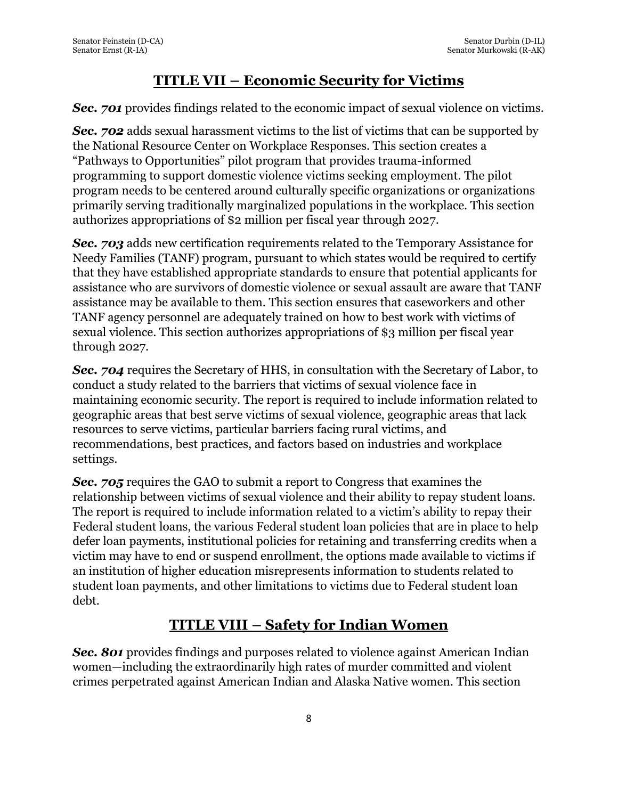### **TITLE VII – Economic Security for Victims**

**Sec. 701** provides findings related to the economic impact of sexual violence on victims.

**Sec. 702** adds sexual harassment victims to the list of victims that can be supported by the National Resource Center on Workplace Responses. This section creates a "Pathways to Opportunities" pilot program that provides trauma-informed programming to support domestic violence victims seeking employment. The pilot program needs to be centered around culturally specific organizations or organizations primarily serving traditionally marginalized populations in the workplace. This section authorizes appropriations of \$2 million per fiscal year through 2027.

*Sec. 703* adds new certification requirements related to the Temporary Assistance for Needy Families (TANF) program, pursuant to which states would be required to certify that they have established appropriate standards to ensure that potential applicants for assistance who are survivors of domestic violence or sexual assault are aware that TANF assistance may be available to them. This section ensures that caseworkers and other TANF agency personnel are adequately trained on how to best work with victims of sexual violence. This section authorizes appropriations of \$3 million per fiscal year through 2027.

*Sec. 704* requires the Secretary of HHS, in consultation with the Secretary of Labor, to conduct a study related to the barriers that victims of sexual violence face in maintaining economic security. The report is required to include information related to geographic areas that best serve victims of sexual violence, geographic areas that lack resources to serve victims, particular barriers facing rural victims, and recommendations, best practices, and factors based on industries and workplace settings.

*Sec. 705* requires the GAO to submit a report to Congress that examines the relationship between victims of sexual violence and their ability to repay student loans. The report is required to include information related to a victim's ability to repay their Federal student loans, the various Federal student loan policies that are in place to help defer loan payments, institutional policies for retaining and transferring credits when a victim may have to end or suspend enrollment, the options made available to victims if an institution of higher education misrepresents information to students related to student loan payments, and other limitations to victims due to Federal student loan debt.

#### **TITLE VIII – Safety for Indian Women**

**Sec. 801** provides findings and purposes related to violence against American Indian women—including the extraordinarily high rates of murder committed and violent crimes perpetrated against American Indian and Alaska Native women. This section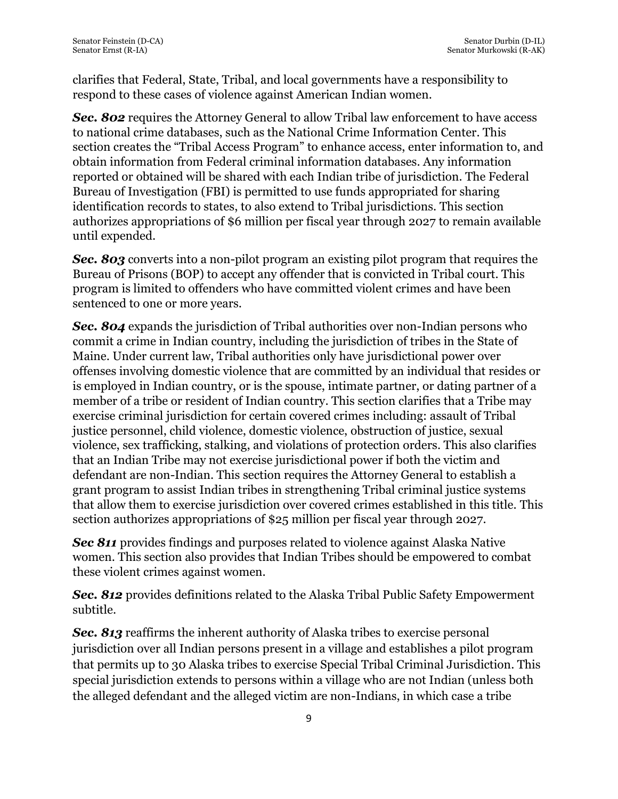clarifies that Federal, State, Tribal, and local governments have a responsibility to respond to these cases of violence against American Indian women.

**Sec. 802** requires the Attorney General to allow Tribal law enforcement to have access to national crime databases, such as the National Crime Information Center. This section creates the "Tribal Access Program" to enhance access, enter information to, and obtain information from Federal criminal information databases. Any information reported or obtained will be shared with each Indian tribe of jurisdiction. The Federal Bureau of Investigation (FBI) is permitted to use funds appropriated for sharing identification records to states, to also extend to Tribal jurisdictions. This section authorizes appropriations of \$6 million per fiscal year through 2027 to remain available until expended.

*Sec. 803* converts into a non-pilot program an existing pilot program that requires the Bureau of Prisons (BOP) to accept any offender that is convicted in Tribal court. This program is limited to offenders who have committed violent crimes and have been sentenced to one or more years.

*Sec. 804* expands the jurisdiction of Tribal authorities over non-Indian persons who commit a crime in Indian country, including the jurisdiction of tribes in the State of Maine. Under current law, Tribal authorities only have jurisdictional power over offenses involving domestic violence that are committed by an individual that resides or is employed in Indian country, or is the spouse, intimate partner, or dating partner of a member of a tribe or resident of Indian country. This section clarifies that a Tribe may exercise criminal jurisdiction for certain covered crimes including: assault of Tribal justice personnel, child violence, domestic violence, obstruction of justice, sexual violence, sex trafficking, stalking, and violations of protection orders. This also clarifies that an Indian Tribe may not exercise jurisdictional power if both the victim and defendant are non-Indian. This section requires the Attorney General to establish a grant program to assist Indian tribes in strengthening Tribal criminal justice systems that allow them to exercise jurisdiction over covered crimes established in this title. This section authorizes appropriations of \$25 million per fiscal year through 2027.

*Sec 811* provides findings and purposes related to violence against Alaska Native women. This section also provides that Indian Tribes should be empowered to combat these violent crimes against women.

*Sec. 812* provides definitions related to the Alaska Tribal Public Safety Empowerment subtitle.

**Sec. 813** reaffirms the inherent authority of Alaska tribes to exercise personal jurisdiction over all Indian persons present in a village and establishes a pilot program that permits up to 30 Alaska tribes to exercise Special Tribal Criminal Jurisdiction. This special jurisdiction extends to persons within a village who are not Indian (unless both the alleged defendant and the alleged victim are non-Indians, in which case a tribe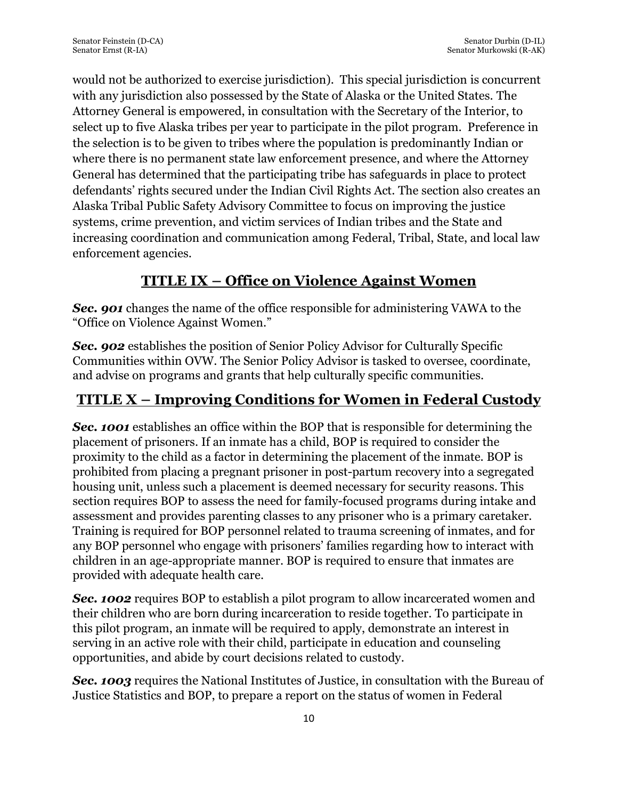would not be authorized to exercise jurisdiction). This special jurisdiction is concurrent with any jurisdiction also possessed by the State of Alaska or the United States. The Attorney General is empowered, in consultation with the Secretary of the Interior, to select up to five Alaska tribes per year to participate in the pilot program. Preference in the selection is to be given to tribes where the population is predominantly Indian or where there is no permanent state law enforcement presence, and where the Attorney General has determined that the participating tribe has safeguards in place to protect defendants' rights secured under the Indian Civil Rights Act. The section also creates an Alaska Tribal Public Safety Advisory Committee to focus on improving the justice systems, crime prevention, and victim services of Indian tribes and the State and increasing coordination and communication among Federal, Tribal, State, and local law enforcement agencies.

## **TITLE IX – Office on Violence Against Women**

*Sec. 901* changes the name of the office responsible for administering VAWA to the "Office on Violence Against Women."

*Sec. 902* establishes the position of Senior Policy Advisor for Culturally Specific Communities within OVW. The Senior Policy Advisor is tasked to oversee, coordinate, and advise on programs and grants that help culturally specific communities.

### **TITLE X – Improving Conditions for Women in Federal Custody**

**Sec. 1001** establishes an office within the BOP that is responsible for determining the placement of prisoners. If an inmate has a child, BOP is required to consider the proximity to the child as a factor in determining the placement of the inmate. BOP is prohibited from placing a pregnant prisoner in post-partum recovery into a segregated housing unit, unless such a placement is deemed necessary for security reasons. This section requires BOP to assess the need for family-focused programs during intake and assessment and provides parenting classes to any prisoner who is a primary caretaker. Training is required for BOP personnel related to trauma screening of inmates, and for any BOP personnel who engage with prisoners' families regarding how to interact with children in an age-appropriate manner. BOP is required to ensure that inmates are provided with adequate health care.

**Sec. 1002** requires BOP to establish a pilot program to allow incarcerated women and their children who are born during incarceration to reside together. To participate in this pilot program, an inmate will be required to apply, demonstrate an interest in serving in an active role with their child, participate in education and counseling opportunities, and abide by court decisions related to custody.

*Sec. 1003* requires the National Institutes of Justice, in consultation with the Bureau of Justice Statistics and BOP, to prepare a report on the status of women in Federal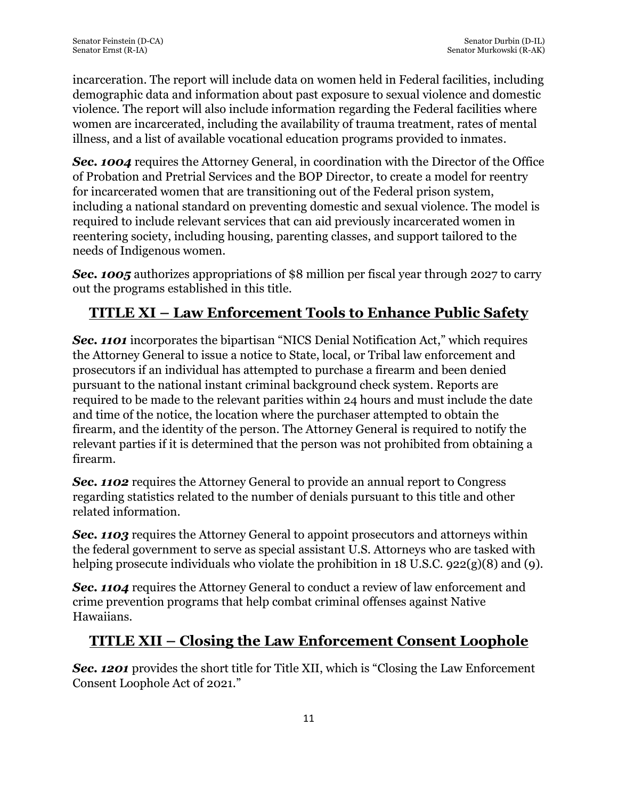incarceration. The report will include data on women held in Federal facilities, including demographic data and information about past exposure to sexual violence and domestic violence. The report will also include information regarding the Federal facilities where women are incarcerated, including the availability of trauma treatment, rates of mental illness, and a list of available vocational education programs provided to inmates.

**Sec. 1004** requires the Attorney General, in coordination with the Director of the Office of Probation and Pretrial Services and the BOP Director, to create a model for reentry for incarcerated women that are transitioning out of the Federal prison system, including a national standard on preventing domestic and sexual violence. The model is required to include relevant services that can aid previously incarcerated women in reentering society, including housing, parenting classes, and support tailored to the needs of Indigenous women.

**Sec. 1005** authorizes appropriations of \$8 million per fiscal year through 2027 to carry out the programs established in this title.

## **TITLE XI – Law Enforcement Tools to Enhance Public Safety**

**Sec. 1101** incorporates the bipartisan "NICS Denial Notification Act," which requires the Attorney General to issue a notice to State, local, or Tribal law enforcement and prosecutors if an individual has attempted to purchase a firearm and been denied pursuant to the national instant criminal background check system. Reports are required to be made to the relevant parities within 24 hours and must include the date and time of the notice, the location where the purchaser attempted to obtain the firearm, and the identity of the person. The Attorney General is required to notify the relevant parties if it is determined that the person was not prohibited from obtaining a firearm.

**Sec. 1102** requires the Attorney General to provide an annual report to Congress regarding statistics related to the number of denials pursuant to this title and other related information.

**Sec. 1103** requires the Attorney General to appoint prosecutors and attorneys within the federal government to serve as special assistant U.S. Attorneys who are tasked with helping prosecute individuals who violate the prohibition in 18 U.S.C.  $922(g)(8)$  and (9).

**Sec. 1104** requires the Attorney General to conduct a review of law enforcement and crime prevention programs that help combat criminal offenses against Native Hawaiians.

## **TITLE XII – Closing the Law Enforcement Consent Loophole**

**Sec. 1201** provides the short title for Title XII, which is "Closing the Law Enforcement" Consent Loophole Act of 2021."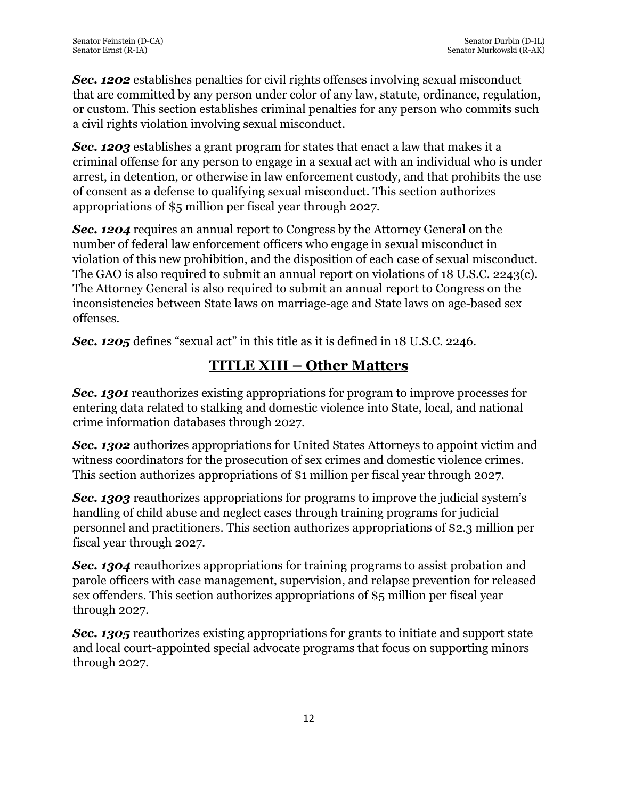**Sec. 1202** establishes penalties for civil rights offenses involving sexual misconduct that are committed by any person under color of any law, statute, ordinance, regulation, or custom. This section establishes criminal penalties for any person who commits such a civil rights violation involving sexual misconduct.

*Sec. 1203* establishes a grant program for states that enact a law that makes it a criminal offense for any person to engage in a sexual act with an individual who is under arrest, in detention, or otherwise in law enforcement custody, and that prohibits the use of consent as a defense to qualifying sexual misconduct. This section authorizes appropriations of \$5 million per fiscal year through 2027.

**Sec. 1204** requires an annual report to Congress by the Attorney General on the number of federal law enforcement officers who engage in sexual misconduct in violation of this new prohibition, and the disposition of each case of sexual misconduct. The GAO is also required to submit an annual report on violations of 18 U.S.C. 2243(c). The Attorney General is also required to submit an annual report to Congress on the inconsistencies between State laws on marriage-age and State laws on age-based sex offenses.

*Sec. 1205* defines "sexual act" in this title as it is defined in 18 U.S.C. 2246.

## **TITLE XIII – Other Matters**

**Sec. 1301** reauthorizes existing appropriations for program to improve processes for entering data related to stalking and domestic violence into State, local, and national crime information databases through 2027.

*Sec. 1302* authorizes appropriations for United States Attorneys to appoint victim and witness coordinators for the prosecution of sex crimes and domestic violence crimes. This section authorizes appropriations of \$1 million per fiscal year through 2027.

*Sec. 1303* reauthorizes appropriations for programs to improve the judicial system's handling of child abuse and neglect cases through training programs for judicial personnel and practitioners. This section authorizes appropriations of \$2.3 million per fiscal year through 2027.

**Sec. 1304** reauthorizes appropriations for training programs to assist probation and parole officers with case management, supervision, and relapse prevention for released sex offenders. This section authorizes appropriations of \$5 million per fiscal year through 2027.

*Sec. 1305* reauthorizes existing appropriations for grants to initiate and support state and local court-appointed special advocate programs that focus on supporting minors through 2027.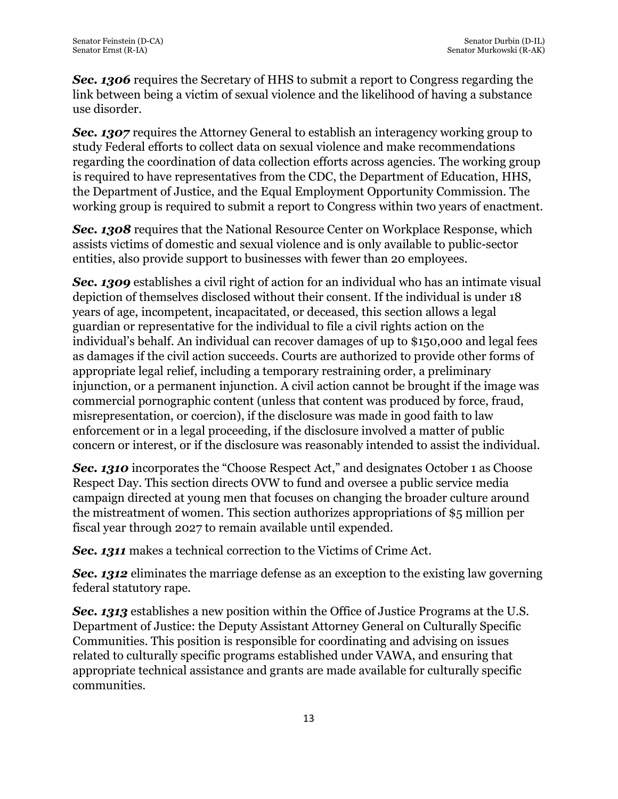**Sec. 1306** requires the Secretary of HHS to submit a report to Congress regarding the link between being a victim of sexual violence and the likelihood of having a substance use disorder.

**Sec. 1307** requires the Attorney General to establish an interagency working group to study Federal efforts to collect data on sexual violence and make recommendations regarding the coordination of data collection efforts across agencies. The working group is required to have representatives from the CDC, the Department of Education, HHS, the Department of Justice, and the Equal Employment Opportunity Commission. The working group is required to submit a report to Congress within two years of enactment.

**Sec. 1308** requires that the National Resource Center on Workplace Response, which assists victims of domestic and sexual violence and is only available to public-sector entities, also provide support to businesses with fewer than 20 employees.

*Sec. 1309* establishes a civil right of action for an individual who has an intimate visual depiction of themselves disclosed without their consent. If the individual is under 18 years of age, incompetent, incapacitated, or deceased, this section allows a legal guardian or representative for the individual to file a civil rights action on the individual's behalf. An individual can recover damages of up to \$150,000 and legal fees as damages if the civil action succeeds. Courts are authorized to provide other forms of appropriate legal relief, including a temporary restraining order, a preliminary injunction, or a permanent injunction. A civil action cannot be brought if the image was commercial pornographic content (unless that content was produced by force, fraud, misrepresentation, or coercion), if the disclosure was made in good faith to law enforcement or in a legal proceeding, if the disclosure involved a matter of public concern or interest, or if the disclosure was reasonably intended to assist the individual.

**Sec. 1310** incorporates the "Choose Respect Act," and designates October 1 as Choose Respect Day. This section directs OVW to fund and oversee a public service media campaign directed at young men that focuses on changing the broader culture around the mistreatment of women. This section authorizes appropriations of \$5 million per fiscal year through 2027 to remain available until expended.

*Sec. 1311* makes a technical correction to the Victims of Crime Act.

*Sec. 1312* eliminates the marriage defense as an exception to the existing law governing federal statutory rape.

*Sec. 1313* establishes a new position within the Office of Justice Programs at the U.S. Department of Justice: the Deputy Assistant Attorney General on Culturally Specific Communities. This position is responsible for coordinating and advising on issues related to culturally specific programs established under VAWA, and ensuring that appropriate technical assistance and grants are made available for culturally specific communities.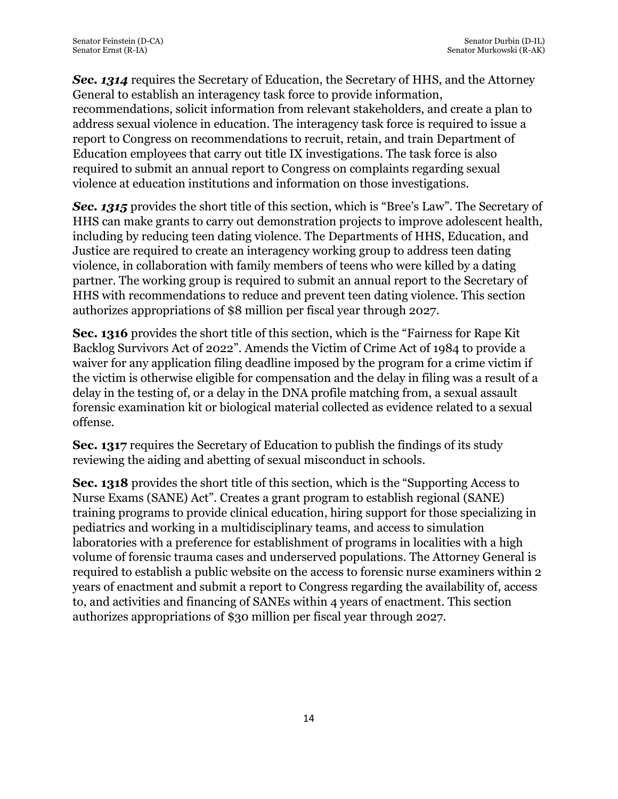*Sec. 1314* requires the Secretary of Education, the Secretary of HHS, and the Attorney General to establish an interagency task force to provide information, recommendations, solicit information from relevant stakeholders, and create a plan to address sexual violence in education. The interagency task force is required to issue a report to Congress on recommendations to recruit, retain, and train Department of Education employees that carry out title IX investigations. The task force is also required to submit an annual report to Congress on complaints regarding sexual violence at education institutions and information on those investigations.

**Sec. 1315** provides the short title of this section, which is "Bree's Law". The Secretary of HHS can make grants to carry out demonstration projects to improve adolescent health, including by reducing teen dating violence. The Departments of HHS, Education, and Justice are required to create an interagency working group to address teen dating violence, in collaboration with family members of teens who were killed by a dating partner. The working group is required to submit an annual report to the Secretary of HHS with recommendations to reduce and prevent teen dating violence. This section authorizes appropriations of \$8 million per fiscal year through 2027.

**Sec. 1316** provides the short title of this section, which is the "Fairness for Rape Kit Backlog Survivors Act of 2022". Amends the Victim of Crime Act of 1984 to provide a waiver for any application filing deadline imposed by the program for a crime victim if the victim is otherwise eligible for compensation and the delay in filing was a result of a delay in the testing of, or a delay in the DNA profile matching from, a sexual assault forensic examination kit or biological material collected as evidence related to a sexual offense.

**Sec. 1317** requires the Secretary of Education to publish the findings of its study reviewing the aiding and abetting of sexual misconduct in schools.

**Sec. 1318** provides the short title of this section, which is the "Supporting Access to Nurse Exams (SANE) Act". Creates a grant program to establish regional (SANE) training programs to provide clinical education, hiring support for those specializing in pediatrics and working in a multidisciplinary teams, and access to simulation laboratories with a preference for establishment of programs in localities with a high volume of forensic trauma cases and underserved populations. The Attorney General is required to establish a public website on the access to forensic nurse examiners within 2 years of enactment and submit a report to Congress regarding the availability of, access to, and activities and financing of SANEs within 4 years of enactment. This section authorizes appropriations of \$30 million per fiscal year through 2027.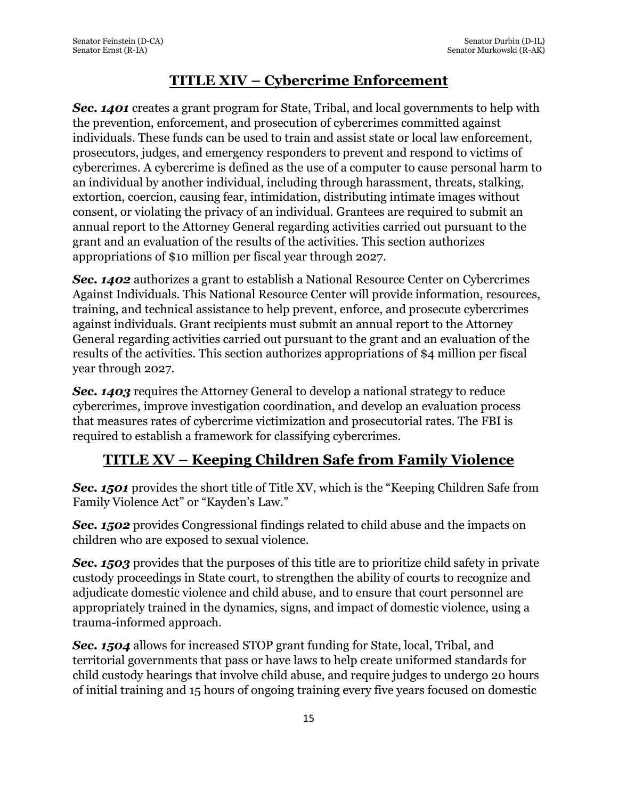#### **TITLE XIV – Cybercrime Enforcement**

**Sec. 1401** creates a grant program for State, Tribal, and local governments to help with the prevention, enforcement, and prosecution of cybercrimes committed against individuals. These funds can be used to train and assist state or local law enforcement, prosecutors, judges, and emergency responders to prevent and respond to victims of cybercrimes. A cybercrime is defined as the use of a computer to cause personal harm to an individual by another individual, including through harassment, threats, stalking, extortion, coercion, causing fear, intimidation, distributing intimate images without consent, or violating the privacy of an individual. Grantees are required to submit an annual report to the Attorney General regarding activities carried out pursuant to the grant and an evaluation of the results of the activities. This section authorizes appropriations of \$10 million per fiscal year through 2027.

**Sec. 1402** authorizes a grant to establish a National Resource Center on Cybercrimes Against Individuals. This National Resource Center will provide information, resources, training, and technical assistance to help prevent, enforce, and prosecute cybercrimes against individuals. Grant recipients must submit an annual report to the Attorney General regarding activities carried out pursuant to the grant and an evaluation of the results of the activities. This section authorizes appropriations of \$4 million per fiscal year through 2027.

*Sec. 1403* requires the Attorney General to develop a national strategy to reduce cybercrimes, improve investigation coordination, and develop an evaluation process that measures rates of cybercrime victimization and prosecutorial rates. The FBI is required to establish a framework for classifying cybercrimes.

## **TITLE XV – Keeping Children Safe from Family Violence**

**Sec. 1501** provides the short title of Title XV, which is the "Keeping Children Safe from Family Violence Act" or "Kayden's Law."

*Sec. 1502* provides Congressional findings related to child abuse and the impacts on children who are exposed to sexual violence.

*Sec. 1503* provides that the purposes of this title are to prioritize child safety in private custody proceedings in State court, to strengthen the ability of courts to recognize and adjudicate domestic violence and child abuse, and to ensure that court personnel are appropriately trained in the dynamics, signs, and impact of domestic violence, using a trauma-informed approach.

*Sec. 1504* allows for increased STOP grant funding for State, local, Tribal, and territorial governments that pass or have laws to help create uniformed standards for child custody hearings that involve child abuse, and require judges to undergo 20 hours of initial training and 15 hours of ongoing training every five years focused on domestic